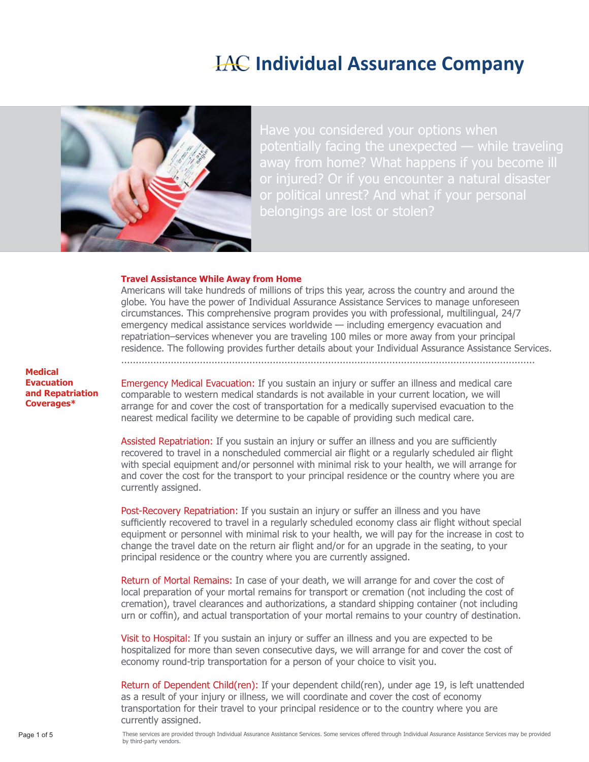# **IAC Individual Assurance Company**



away from home? What happens if you become ill or political unrest? And what if your personal

#### **Travel Assistance While Away from Home**

Americans will take hundreds of millions of trips this year, across the country and around the globe. You have the power of Individual Assurance Assistance Services to manage unforeseen circumstances. This comprehensive program provides you with professional, multilingual, 24/7 emergency medical assistance services worldwide — including emergency evacuation and repatriation–services whenever you are traveling 100 miles or more away from your principal residence. The following provides further details about your Individual Assurance Assistance Services. ..............................................................................................................................................

**Medical Evacuation and Repatriation Coverages\***

Emergency Medical Evacuation: If you sustain an injury or suffer an illness and medical care comparable to western medical standards is not available in your current location, we will arrange for and cover the cost of transportation for a medically supervised evacuation to the nearest medical facility we determine to be capable of providing such medical care.

Assisted Repatriation: If you sustain an injury or suffer an illness and you are sufficiently recovered to travel in a nonscheduled commercial air flight or a regularly scheduled air flight with special equipment and/or personnel with minimal risk to your health, we will arrange for and cover the cost for the transport to your principal residence or the country where you are currently assigned.

Post-Recovery Repatriation: If you sustain an injury or suffer an illness and you have sufficiently recovered to travel in a regularly scheduled economy class air flight without special equipment or personnel with minimal risk to your health, we will pay for the increase in cost to change the travel date on the return air flight and/or for an upgrade in the seating, to your principal residence or the country where you are currently assigned.

Return of Mortal Remains: In case of your death, we will arrange for and cover the cost of local preparation of your mortal remains for transport or cremation (not including the cost of cremation), travel clearances and authorizations, a standard shipping container (not including urn or coffin), and actual transportation of your mortal remains to your country of destination.

Visit to Hospital: If you sustain an injury or suffer an illness and you are expected to be hospitalized for more than seven consecutive days, we will arrange for and cover the cost of economy round-trip transportation for a person of your choice to visit you.

Return of Dependent Child(ren): If your dependent child(ren), under age 19, is left unattended as a result of your injury or illness, we will coordinate and cover the cost of economy transportation for their travel to your principal residence or to the country where you are currently assigned.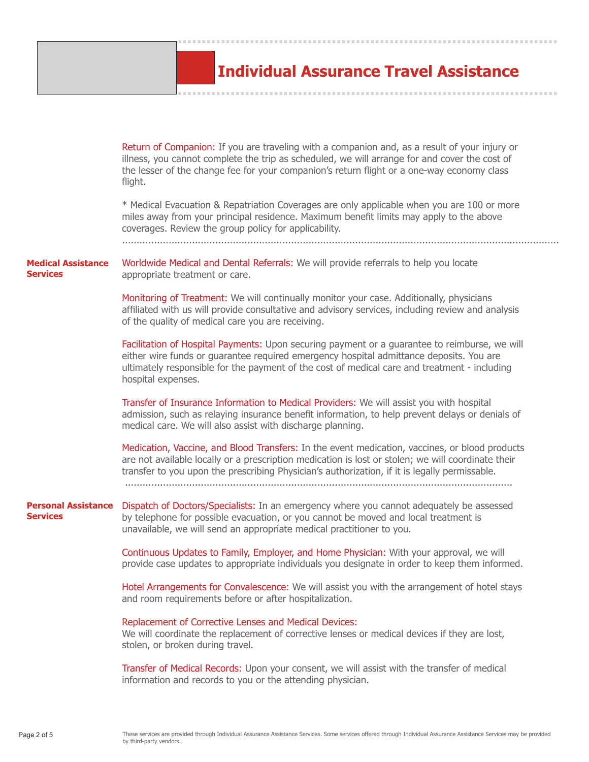# **Individual Assurance Travel Assistance**

**...............................................................................**

**...............................................................................**

|                                               | Return of Companion: If you are traveling with a companion and, as a result of your injury or<br>illness, you cannot complete the trip as scheduled, we will arrange for and cover the cost of<br>the lesser of the change fee for your companion's return flight or a one-way economy class<br>flight.<br>* Medical Evacuation & Repatriation Coverages are only applicable when you are 100 or more<br>miles away from your principal residence. Maximum benefit limits may apply to the above<br>coverages. Review the group policy for applicability. |
|-----------------------------------------------|-----------------------------------------------------------------------------------------------------------------------------------------------------------------------------------------------------------------------------------------------------------------------------------------------------------------------------------------------------------------------------------------------------------------------------------------------------------------------------------------------------------------------------------------------------------|
| <b>Medical Assistance</b><br><b>Services</b>  | Worldwide Medical and Dental Referrals: We will provide referrals to help you locate<br>appropriate treatment or care.                                                                                                                                                                                                                                                                                                                                                                                                                                    |
|                                               | Monitoring of Treatment: We will continually monitor your case. Additionally, physicians<br>affiliated with us will provide consultative and advisory services, including review and analysis<br>of the quality of medical care you are receiving.                                                                                                                                                                                                                                                                                                        |
|                                               | Facilitation of Hospital Payments: Upon securing payment or a guarantee to reimburse, we will<br>either wire funds or guarantee required emergency hospital admittance deposits. You are<br>ultimately responsible for the payment of the cost of medical care and treatment - including<br>hospital expenses.                                                                                                                                                                                                                                            |
|                                               | Transfer of Insurance Information to Medical Providers: We will assist you with hospital<br>admission, such as relaying insurance benefit information, to help prevent delays or denials of<br>medical care. We will also assist with discharge planning.                                                                                                                                                                                                                                                                                                 |
|                                               | Medication, Vaccine, and Blood Transfers: In the event medication, vaccines, or blood products<br>are not available locally or a prescription medication is lost or stolen; we will coordinate their<br>transfer to you upon the prescribing Physician's authorization, if it is legally permissable.                                                                                                                                                                                                                                                     |
| <b>Personal Assistance</b><br><b>Services</b> | Dispatch of Doctors/Specialists: In an emergency where you cannot adequately be assessed<br>by telephone for possible evacuation, or you cannot be moved and local treatment is<br>unavailable, we will send an appropriate medical practitioner to you.                                                                                                                                                                                                                                                                                                  |
|                                               | Continuous Updates to Family, Employer, and Home Physician: With your approval, we will<br>provide case updates to appropriate individuals you designate in order to keep them informed.                                                                                                                                                                                                                                                                                                                                                                  |
|                                               | Hotel Arrangements for Convalescence: We will assist you with the arrangement of hotel stays<br>and room requirements before or after hospitalization.                                                                                                                                                                                                                                                                                                                                                                                                    |
|                                               | Replacement of Corrective Lenses and Medical Devices:<br>We will coordinate the replacement of corrective lenses or medical devices if they are lost,<br>stolen, or broken during travel.                                                                                                                                                                                                                                                                                                                                                                 |
|                                               | Transfer of Medical Records: Upon your consent, we will assist with the transfer of medical<br>information and records to you or the attending physician.                                                                                                                                                                                                                                                                                                                                                                                                 |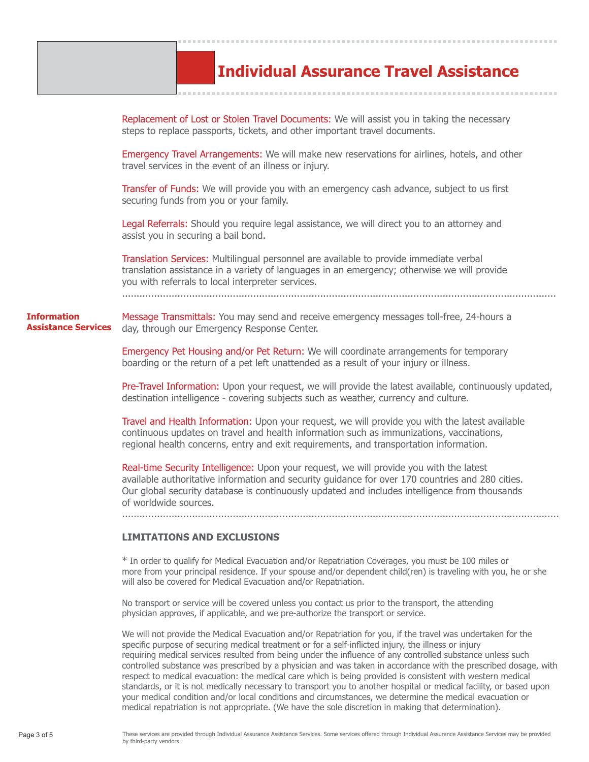|                                                  | <b>Individual Assurance Travel Assistance</b>                                                                                                                                                                                                                                                                         |
|--------------------------------------------------|-----------------------------------------------------------------------------------------------------------------------------------------------------------------------------------------------------------------------------------------------------------------------------------------------------------------------|
|                                                  | Replacement of Lost or Stolen Travel Documents: We will assist you in taking the necessary<br>steps to replace passports, tickets, and other important travel documents.                                                                                                                                              |
|                                                  | Emergency Travel Arrangements: We will make new reservations for airlines, hotels, and other<br>travel services in the event of an illness or injury.                                                                                                                                                                 |
|                                                  | Transfer of Funds: We will provide you with an emergency cash advance, subject to us first<br>securing funds from you or your family.                                                                                                                                                                                 |
|                                                  | Legal Referrals: Should you require legal assistance, we will direct you to an attorney and<br>assist you in securing a bail bond.                                                                                                                                                                                    |
|                                                  | Translation Services: Multilingual personnel are available to provide immediate verbal<br>translation assistance in a variety of languages in an emergency; otherwise we will provide<br>you with referrals to local interpreter services.                                                                            |
| <b>Information</b><br><b>Assistance Services</b> | Message Transmittals: You may send and receive emergency messages toll-free, 24-hours a<br>day, through our Emergency Response Center.                                                                                                                                                                                |
|                                                  | Emergency Pet Housing and/or Pet Return: We will coordinate arrangements for temporary<br>boarding or the return of a pet left unattended as a result of your injury or illness.                                                                                                                                      |
|                                                  | Pre-Travel Information: Upon your request, we will provide the latest available, continuously updated,<br>destination intelligence - covering subjects such as weather, currency and culture.                                                                                                                         |
|                                                  | Travel and Health Information: Upon your request, we will provide you with the latest available<br>continuous updates on travel and health information such as immunizations, vaccinations,<br>regional health concerns, entry and exit requirements, and transportation information.                                 |
|                                                  | Real-time Security Intelligence: Upon your request, we will provide you with the latest<br>available authoritative information and security guidance for over 170 countries and 280 cities.<br>Our global security database is continuously updated and includes intelligence from thousands<br>of worldwide sources. |
|                                                  | <b>LIMITATIONS AND EXCLUSIONS</b>                                                                                                                                                                                                                                                                                     |
|                                                  | * In order to qualify for Medical Evacuation and/or Repatriation Coverages, you must be 100 miles or<br>more from your principal residence. If your spouse and/or dependent child(ren) is traveling with you, he or she<br>will also be covered for Medical Evacuation and/or Repatriation.                           |

**...............................................................................**

No transport or service will be covered unless you contact us prior to the transport, the attending physician approves, if applicable, and we pre-authorize the transport or service.

We will not provide the Medical Evacuation and/or Repatriation for you, if the travel was undertaken for the specific purpose of securing medical treatment or for a self-inflicted injury, the illness or injury requiring medical services resulted from being under the influence of any controlled substance unless such controlled substance was prescribed by a physician and was taken in accordance with the prescribed dosage, with respect to medical evacuation: the medical care which is being provided is consistent with western medical standards, or it is not medically necessary to transport you to another hospital or medical facility, or based upon your medical condition and/or local conditions and circumstances, we determine the medical evacuation or medical repatriation is not appropriate. (We have the sole discretion in making that determination).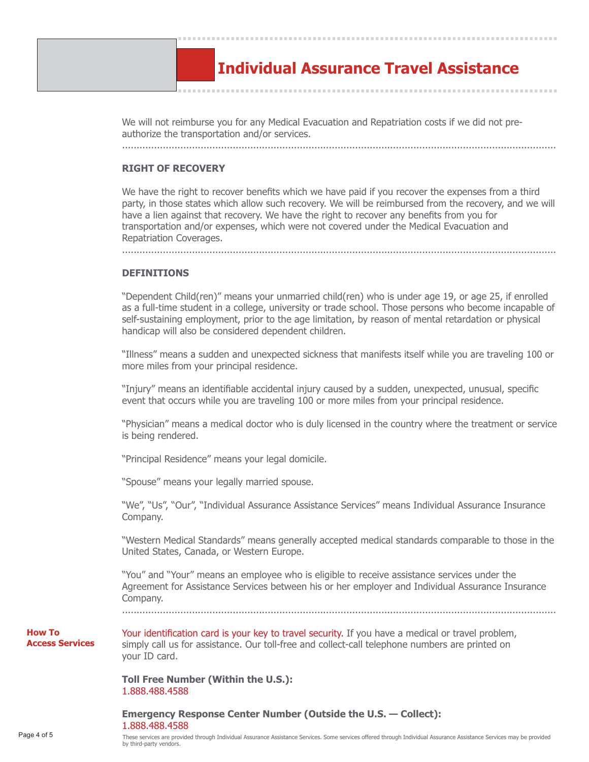

We will not reimburse you for any Medical Evacuation and Repatriation costs if we did not preauthorize the transportation and/or services.

## **RIGHT OF RECOVERY**

We have the right to recover benefits which we have paid if you recover the expenses from a third party, in those states which allow such recovery. We will be reimbursed from the recovery, and we will have a lien against that recovery. We have the right to recover any benefits from you for transportation and/or expenses, which were not covered under the Medical Evacuation and Repatriation Coverages.

.....................................................................................................................................................

**DEFINITIONS**

.....................................................................................................................................................

"Dependent Child(ren)" means your unmarried child(ren) who is under age 19, or age 25, if enrolled as a full-time student in a college, university or trade school. Those persons who become incapable of self-sustaining employment, prior to the age limitation, by reason of mental retardation or physical handicap will also be considered dependent children.

"Illness" means a sudden and unexpected sickness that manifests itself while you are traveling 100 or more miles from your principal residence.

"Injury" means an identifiable accidental injury caused by a sudden, unexpected, unusual, specific event that occurs while you are traveling 100 or more miles from your principal residence.

"Physician" means a medical doctor who is duly licensed in the country where the treatment or service is being rendered.

"Principal Residence" means your legal domicile.

"Spouse" means your legally married spouse.

"We", "Us", "Our", "Individual Assurance Assistance Services" means Individual Assurance Insurance Company.

"Western Medical Standards" means generally accepted medical standards comparable to those in the United States, Canada, or Western Europe.

"You" and "Your" means an employee who is eligible to receive assistance services under the Agreement for Assistance Services between his or her employer and Individual Assurance Insurance Company.

.....................................................................................................................................................

**How To Access Services** Your identification card is your key to travel security. If you have a medical or travel problem, simply call us for assistance. Our toll-free and collect-call telephone numbers are printed on your ID card.

**Toll Free Number (Within the U.S.):** 1.888.488.4588

### **Emergency Response Center Number (Outside the U.S. — Collect):** 1.888.488.4588